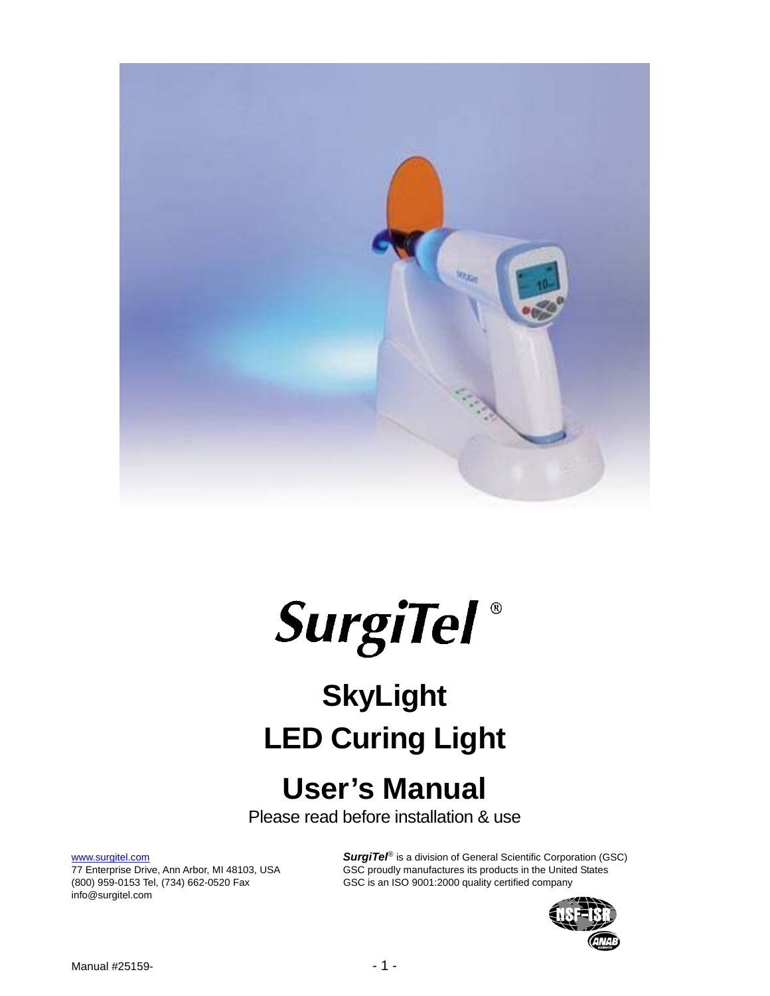



# **SkyLight LED Curing Light**

## **User's Manual**

Please read before installation & use

info@surgitel.com

www.surgitel.com **SurgiTel<sup>®</sup>** is a division of General Scientific Corporation (GSC)<br>77 Enterprise Drive, Ann Arbor, MI 48103, USA GSC proudly manufactures its products in the United States GSC proudly manufactures its products in the United States (800) 959-0153 Tel, (734) 662-0520 Fax GSC is an ISO 9001:2000 quality certified company

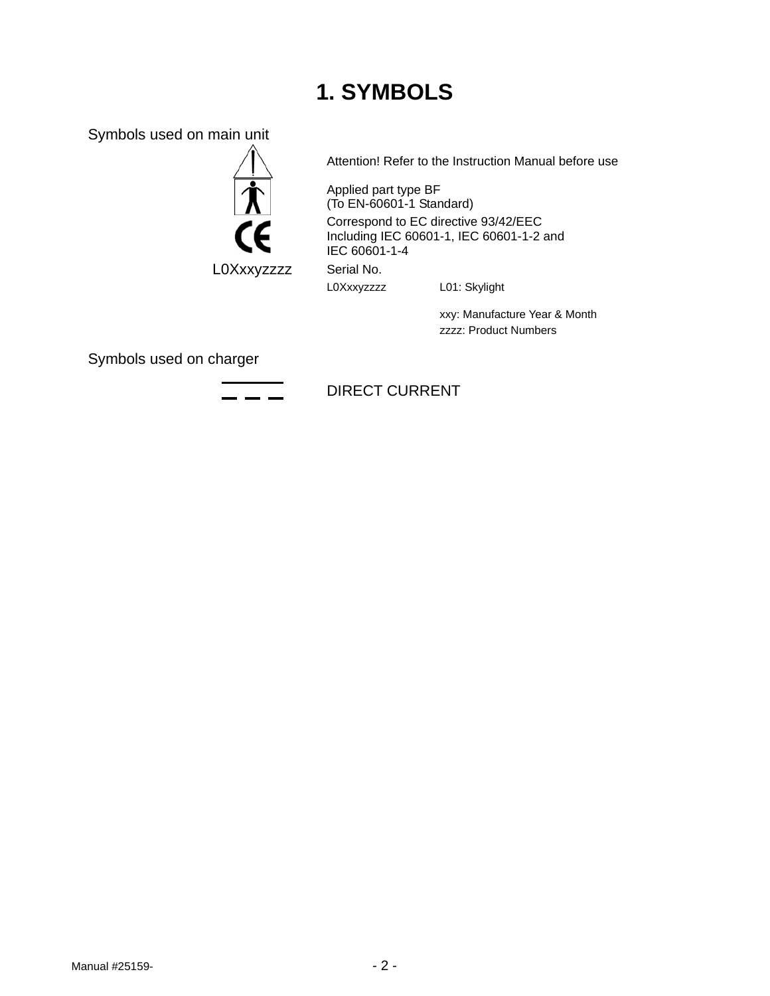### **1. SYMBOLS**

Symbols used on main unit



L0Xxxyzzzz Serial No.

Attention! Refer to the Instruction Manual before use

Applied part type BF (To EN-60601-1 Standard) Correspond to EC directive 93/42/EEC Including IEC 60601-1, IEC 60601-1-2 and IEC 60601-1-4

L0Xxxyzzzz L01: Skylight

 xxy: Manufacture Year & Month zzzz: Product Numbers

Symbols used on charger

#### DIRECT CURRENT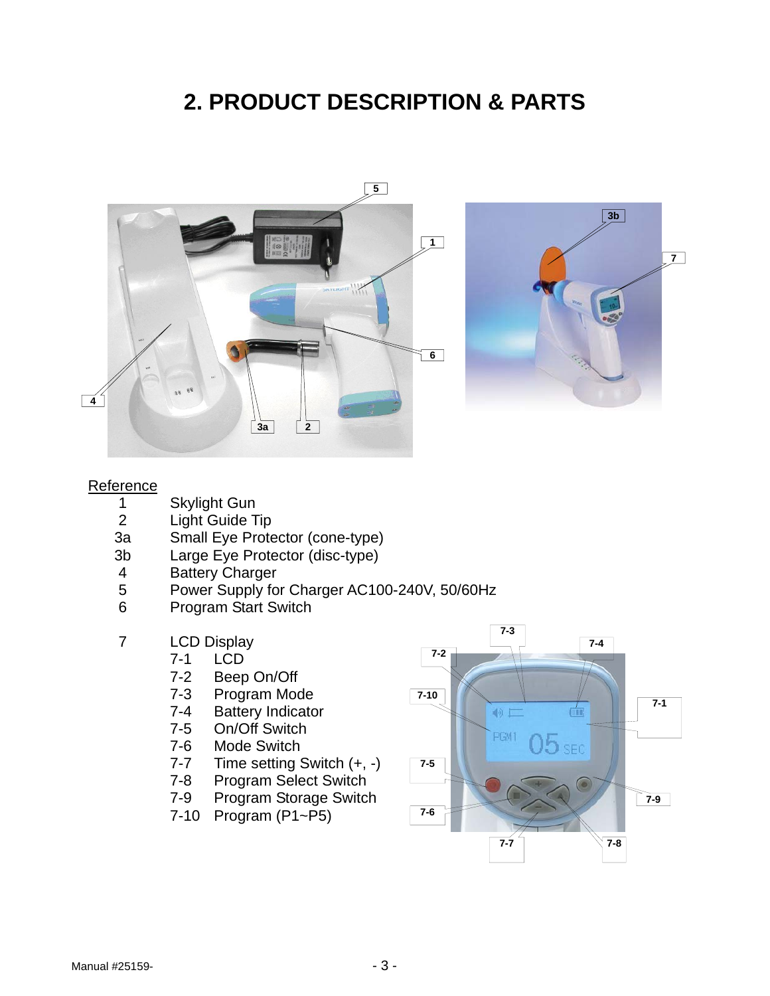### **2. PRODUCT DESCRIPTION & PARTS**





#### **Reference**

- 1 Skylight Gun<br>2 Light Guide T
- Light Guide Tip
- 3a Small Eye Protector (cone-type)
- 3b Large Eye Protector (disc-type)
- 4 Battery Charger
- 5 Power Supply for Charger AC100-240V, 50/60Hz
- 6 Program Start Switch

#### 7 LCD Display

- 7-1 LCD
- 7-2 Beep On/Off<br>7-3 Program Moc
- Program Mode
- 7-4 Battery Indicator
- 7-5 On/Off Switch
- 7-6 Mode Switch
- 7-7 Time setting Switch (+, -)
- 7-8 Program Select Switch
- 7-9 Program Storage Switch
- 7-10 Program (P1~P5)

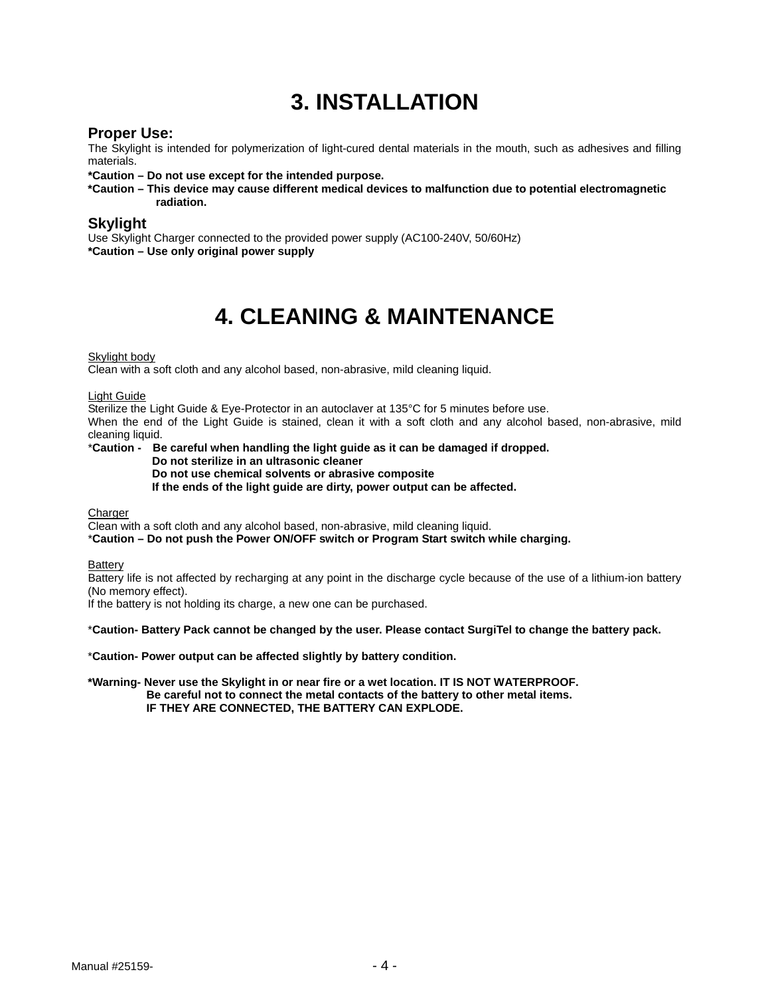### **3. INSTALLATION**

**Proper Use:**<br>The Skylight is intended for polymerization of light-cured dental materials in the mouth, such as adhesives and filling materials.

**\*Caution – Do not use except for the intended purpose.** 

**\*Caution – This device may cause different medical devices to malfunction due to potential electromagnetic radiation.**

#### **Skylight**

Use Skylight Charger connected to the provided power supply (AC100-240V, 50/60Hz) **\*Caution – Use only original power supply** 

### **4. CLEANING & MAINTENANCE**

#### Skylight body

Clean with a soft cloth and any alcohol based, non-abrasive, mild cleaning liquid.

#### Light Guide

Sterilize the Light Guide & Eye-Protector in an autoclaver at 135°C for 5 minutes before use.

When the end of the Light Guide is stained, clean it with a soft cloth and any alcohol based, non-abrasive, mild cleaning liquid.

#### \***Caution - Be careful when handling the light guide as it can be damaged if dropped.**

 **Do not sterilize in an ultrasonic cleaner** 

#### **Do not use chemical solvents or abrasive composite**

 **If the ends of the light guide are dirty, power output can be affected.** 

**Charger** 

Clean with a soft cloth and any alcohol based, non-abrasive, mild cleaning liquid.

\***Caution – Do not push the Power ON/OFF switch or Program Start switch while charging.**

**Battery** 

Battery life is not affected by recharging at any point in the discharge cycle because of the use of a lithium-ion battery (No memory effect).

If the battery is not holding its charge, a new one can be purchased.

\***Caution- Battery Pack cannot be changed by the user. Please contact SurgiTel to change the battery pack.**

\***Caution- Power output can be affected slightly by battery condition.**

**\*Warning- Never use the Skylight in or near fire or a wet location. IT IS NOT WATERPROOF. Be careful not to connect the metal contacts of the battery to other metal items. IF THEY ARE CONNECTED, THE BATTERY CAN EXPLODE.**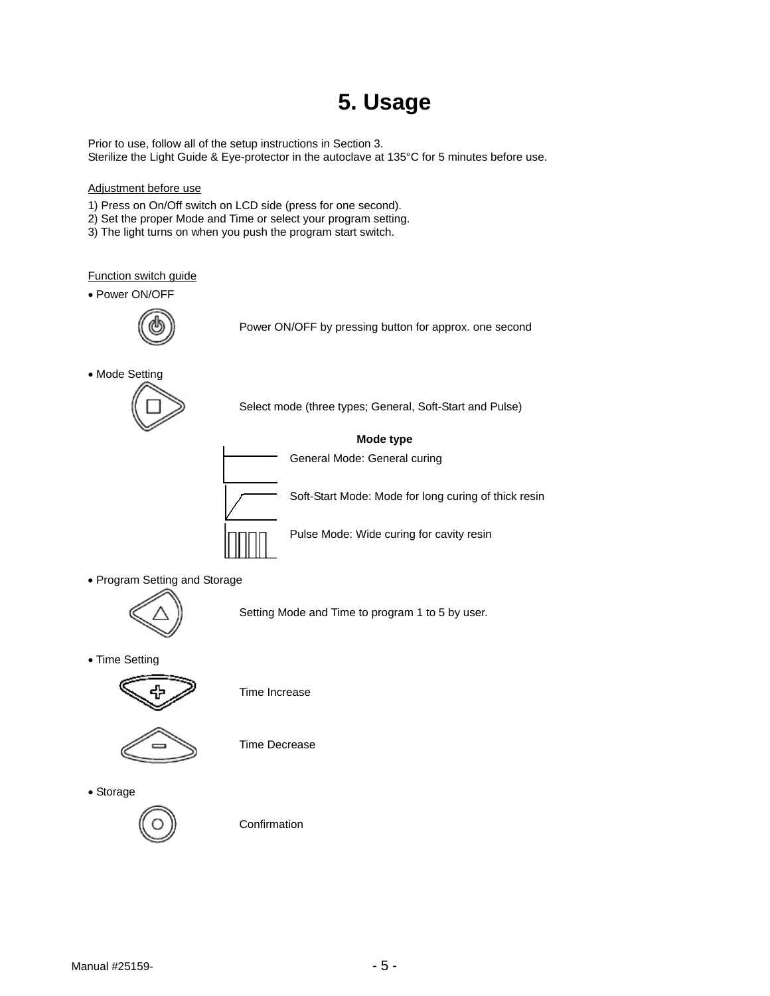### **5. Usage**

Prior to use, follow all of the setup instructions in Section 3. Sterilize the Light Guide & Eye-protector in the autoclave at 135°C for 5 minutes before use.

#### Adjustment before use

- 1) Press on On/Off switch on LCD side (press for one second).
- 2) Set the proper Mode and Time or select your program setting.
- 3) The light turns on when you push the program start switch.

#### Function switch guide

Power ON/OFF



Power ON/OFF by pressing button for approx. one second

• Mode Setting



Select mode (three types; General, Soft-Start and Pulse)

#### **Mode type**

General Mode: General curing

Soft-Start Mode: Mode for long curing of thick resin

Pulse Mode: Wide curing for cavity resin

Program Setting and Storage

Setting Mode and Time to program 1 to 5 by user.

• Time Setting



Time Increase



Time Decrease

Storage



**Confirmation**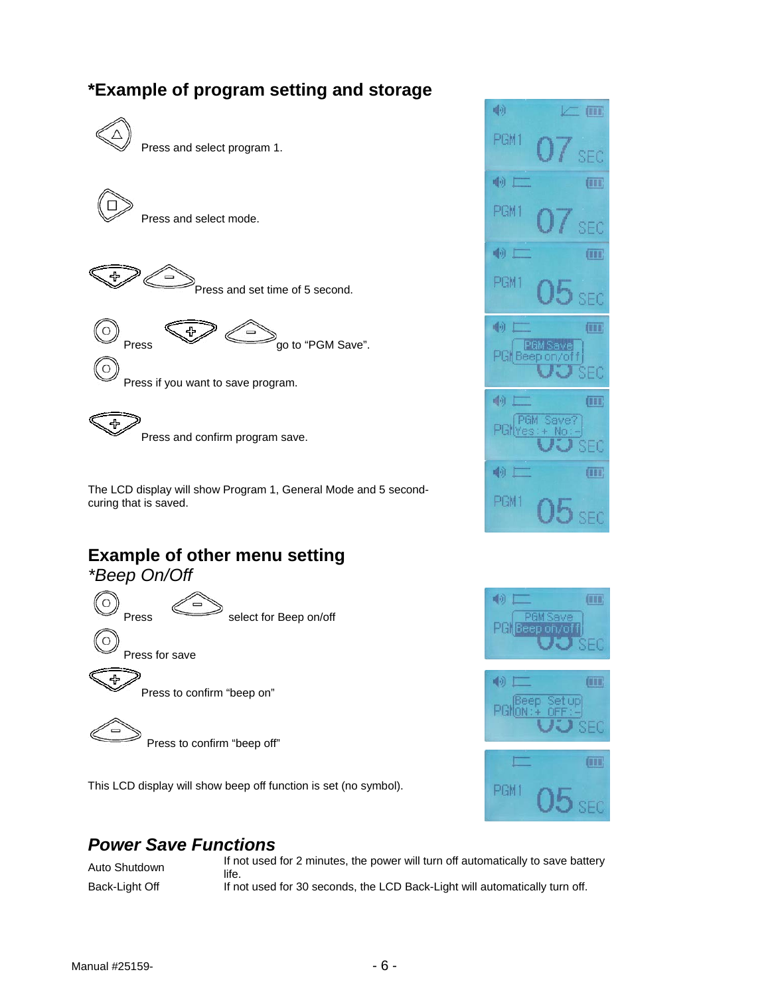### **\*Example of program setting and storage**





This LCD display will show beep off function is set (no symbol).





### *Power Save Functions*

Auto Shutdown If not used for 2 minutes, the power will turn off automatically to save battery life. Back-Light Off If not used for 30 seconds, the LCD Back-Light will automatically turn off.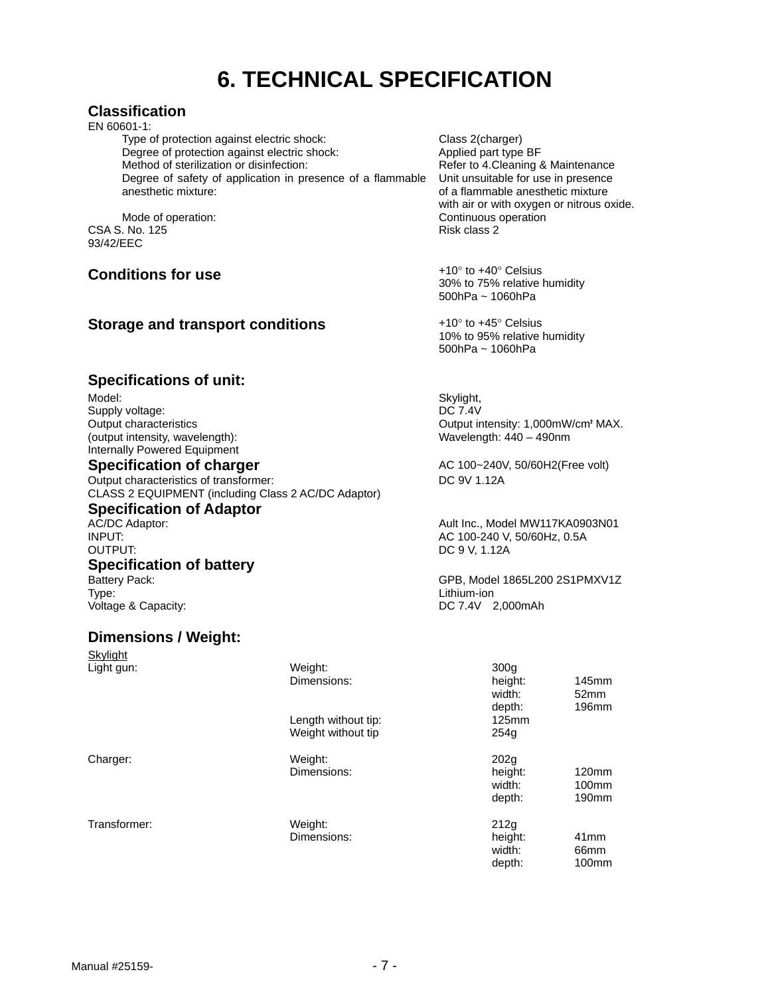### **6. TECHNICAL SPECIFICATION**

#### **Classification**

EN 60601-1:

Type of protection against electric shock: Class 2(charger)<br>
Degree of protection against electric shock: Applied part type BF Degree of protection against electric shock: Method of sterilization or disinfection: Refer to 4. Cleaning & Maintenance Degree of safety of application in presence of a flammable anesthetic mixture:

CSA S. No. 125 93/42/EEC

#### **Conditions for use**  $+10^{\circ}$  to  $+40^{\circ}$  Celsius

#### **Storage and transport conditions**  $+10^{\circ}$  to  $+45^{\circ}$  Celsius

Unit unsuitable for use in presence of a flammable anesthetic mixture with air or with oxygen or nitrous oxide. Mode of operation: The Continuous operation continuous operation<br>
Mode of operation: Continuous operation<br>
Risk class 2

> 30% to 75% relative humidity 500hPa ~ 1060hPa

> 10% to 95% relative humidity 500hPa ~ 1060hPa

Wavelength: 440 – 490nm

DC 9 V, 1.12A

Output intensity: 1,000mW/cm² MAX.

GPB, Model 1865L200 2S1PMXV1Z

**Specifications of unit:** 

Model: Supply voltage: the contract of the contract of the contract of the contract of the Skylight, Supply voltage: Supply voltage: Output characteristics (output intensity, wavelength): Internally Powered Equipment

#### **Specification of charger** <br>AC 100~240V, 50/60H2(Free volt)

Output characteristics of transformer: DC 9V 1.12A CLASS 2 EQUIPMENT (including Class 2 AC/DC Adaptor)

#### **Specification of Adaptor**

AC/DC Adaptor: Ault Inc., Model MW117KA0903N01<br>Ault Inc., Model MW117KA0903N01<br>AC 100-240 V. 50/60Hz. 0.5A INPUT: AC 100-240 V, 50/60Hz, 0.5A

### **Specification of battery**<br>Battery Pack:

Type: Lithium-ion Voltage & Capacity:

#### **Dimensions / Weight:**

| Skylight     |                     |                             |                        |
|--------------|---------------------|-----------------------------|------------------------|
| Light gun:   | Weight:             | 300 <sub>g</sub>            |                        |
|              | Dimensions:         | height:<br>width:<br>depth: | 145mm<br>52mm<br>196mm |
|              | Length without tip: | 125mm                       |                        |
|              | Weight without tip  | 254q                        |                        |
| Charger:     | Weight:             | 202 <sub>q</sub>            |                        |
|              | Dimensions:         | height:                     | 120mm                  |
|              |                     | width:                      | 100 <sub>mm</sub>      |
|              |                     | depth:                      | 190 <sub>mm</sub>      |
| Transformer: | Weight:             | 212q                        |                        |
|              | Dimensions:         | height:                     | 41mm                   |
|              |                     | width:                      | 66mm                   |
|              |                     | depth:                      | 100 <sub>mm</sub>      |